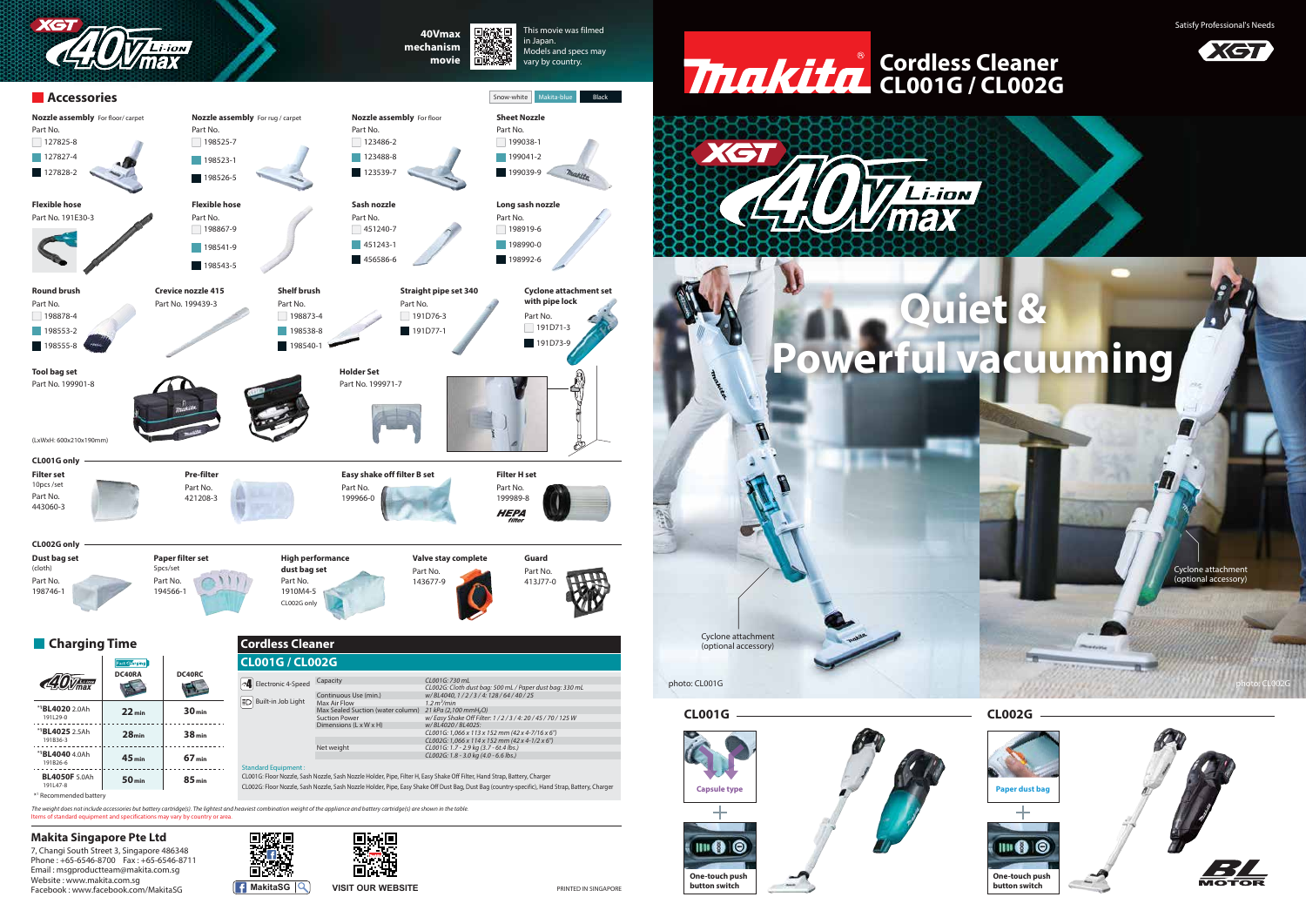## **CL001G / CL002G Cordless Cleaner**

Satisfy Professional's Needs





Cyclone attachment (optional accessory)

7, Changi South Street 3, Singapore 486348 Phone : +65-6546-8700 Fax : +65-6546-8711 Email : msgproductteam@makita.com.sg Website : www.makita.com.sg Facebook : www.facebook.com/MakitaSG **MakitaSG MakitaSG VISIT OUR WEBSITE** 





Cyclone attachment (optional accessory)





#### **CL001G**





## **CL002G**

photo: CL001G photo: CL002G

PRINTED IN SINGAPORE